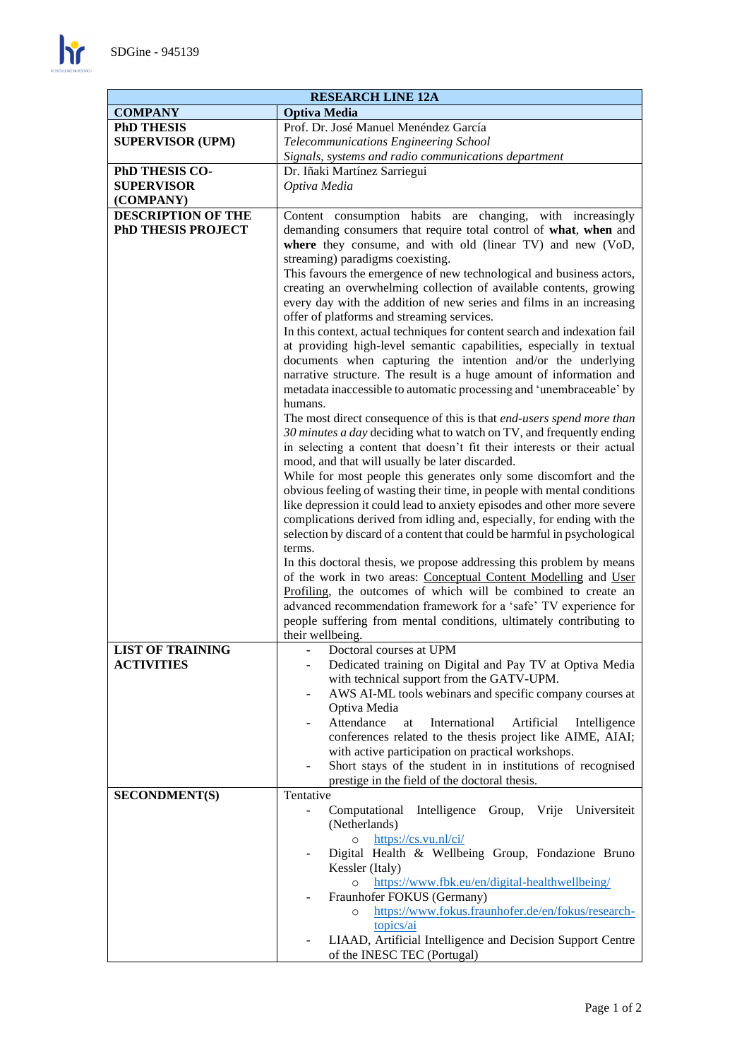h

| <b>RESEARCH LINE 12A</b>  |                                                                                                                                                                                                                                                                                                                                                                                                                                                                                                                                                                                                                                                                                                                                                                                                                                                                                                                                                                                                             |
|---------------------------|-------------------------------------------------------------------------------------------------------------------------------------------------------------------------------------------------------------------------------------------------------------------------------------------------------------------------------------------------------------------------------------------------------------------------------------------------------------------------------------------------------------------------------------------------------------------------------------------------------------------------------------------------------------------------------------------------------------------------------------------------------------------------------------------------------------------------------------------------------------------------------------------------------------------------------------------------------------------------------------------------------------|
| <b>COMPANY</b>            | <b>Optiva Media</b>                                                                                                                                                                                                                                                                                                                                                                                                                                                                                                                                                                                                                                                                                                                                                                                                                                                                                                                                                                                         |
| <b>PhD THESIS</b>         | Prof. Dr. José Manuel Menéndez García                                                                                                                                                                                                                                                                                                                                                                                                                                                                                                                                                                                                                                                                                                                                                                                                                                                                                                                                                                       |
| <b>SUPERVISOR (UPM)</b>   | Telecommunications Engineering School                                                                                                                                                                                                                                                                                                                                                                                                                                                                                                                                                                                                                                                                                                                                                                                                                                                                                                                                                                       |
|                           | Signals, systems and radio communications department                                                                                                                                                                                                                                                                                                                                                                                                                                                                                                                                                                                                                                                                                                                                                                                                                                                                                                                                                        |
| PhD THESIS CO-            | Dr. Iñaki Martínez Sarriegui                                                                                                                                                                                                                                                                                                                                                                                                                                                                                                                                                                                                                                                                                                                                                                                                                                                                                                                                                                                |
| <b>SUPERVISOR</b>         | Optiva Media                                                                                                                                                                                                                                                                                                                                                                                                                                                                                                                                                                                                                                                                                                                                                                                                                                                                                                                                                                                                |
| (COMPANY)                 |                                                                                                                                                                                                                                                                                                                                                                                                                                                                                                                                                                                                                                                                                                                                                                                                                                                                                                                                                                                                             |
| <b>DESCRIPTION OF THE</b> | Content consumption habits are changing, with increasingly                                                                                                                                                                                                                                                                                                                                                                                                                                                                                                                                                                                                                                                                                                                                                                                                                                                                                                                                                  |
| PhD THESIS PROJECT        | demanding consumers that require total control of what, when and<br>where they consume, and with old (linear TV) and new (VoD,<br>streaming) paradigms coexisting.<br>This favours the emergence of new technological and business actors,<br>creating an overwhelming collection of available contents, growing                                                                                                                                                                                                                                                                                                                                                                                                                                                                                                                                                                                                                                                                                            |
|                           | every day with the addition of new series and films in an increasing<br>offer of platforms and streaming services.<br>In this context, actual techniques for content search and indexation fail<br>at providing high-level semantic capabilities, especially in textual<br>documents when capturing the intention and/or the underlying<br>narrative structure. The result is a huge amount of information and<br>metadata inaccessible to automatic processing and 'unembraceable' by<br>humans.<br>The most direct consequence of this is that end-users spend more than<br>30 minutes a day deciding what to watch on TV, and frequently ending<br>in selecting a content that doesn't fit their interests or their actual<br>mood, and that will usually be later discarded.<br>While for most people this generates only some discomfort and the<br>obvious feeling of wasting their time, in people with mental conditions<br>like depression it could lead to anxiety episodes and other more severe |
| <b>LIST OF TRAINING</b>   | complications derived from idling and, especially, for ending with the<br>selection by discard of a content that could be harmful in psychological<br>terms.<br>In this doctoral thesis, we propose addressing this problem by means<br>of the work in two areas: Conceptual Content Modelling and User<br>Profiling, the outcomes of which will be combined to create an<br>advanced recommendation framework for a 'safe' TV experience for<br>people suffering from mental conditions, ultimately contributing to<br>their wellbeing.<br>Doctoral courses at UPM                                                                                                                                                                                                                                                                                                                                                                                                                                         |
| <b>ACTIVITIES</b>         | Dedicated training on Digital and Pay TV at Optiva Media<br>with technical support from the GATV-UPM.<br>AWS AI-ML tools webinars and specific company courses at<br>Optiva Media<br>Attendance<br>International<br>Artificial<br>Intelligence<br>at<br>conferences related to the thesis project like AIME, AIAI;<br>with active participation on practical workshops.<br>Short stays of the student in in institutions of recognised<br>prestige in the field of the doctoral thesis.                                                                                                                                                                                                                                                                                                                                                                                                                                                                                                                     |
| <b>SECONDMENT(S)</b>      | Tentative                                                                                                                                                                                                                                                                                                                                                                                                                                                                                                                                                                                                                                                                                                                                                                                                                                                                                                                                                                                                   |
|                           | Computational Intelligence Group, Vrije<br>Universiteit<br>(Netherlands)<br>https://cs.vu.nl/ci/<br>$\circ$<br>Digital Health & Wellbeing Group, Fondazione Bruno<br>Kessler (Italy)<br>https://www.fbk.eu/en/digital-healthwellbeing/<br>$\circ$<br>Fraunhofer FOKUS (Germany)<br>https://www.fokus.fraunhofer.de/en/fokus/research-<br>$\circ$<br>topics/ai<br>LIAAD, Artificial Intelligence and Decision Support Centre<br>of the INESC TEC (Portugal)                                                                                                                                                                                                                                                                                                                                                                                                                                                                                                                                                  |